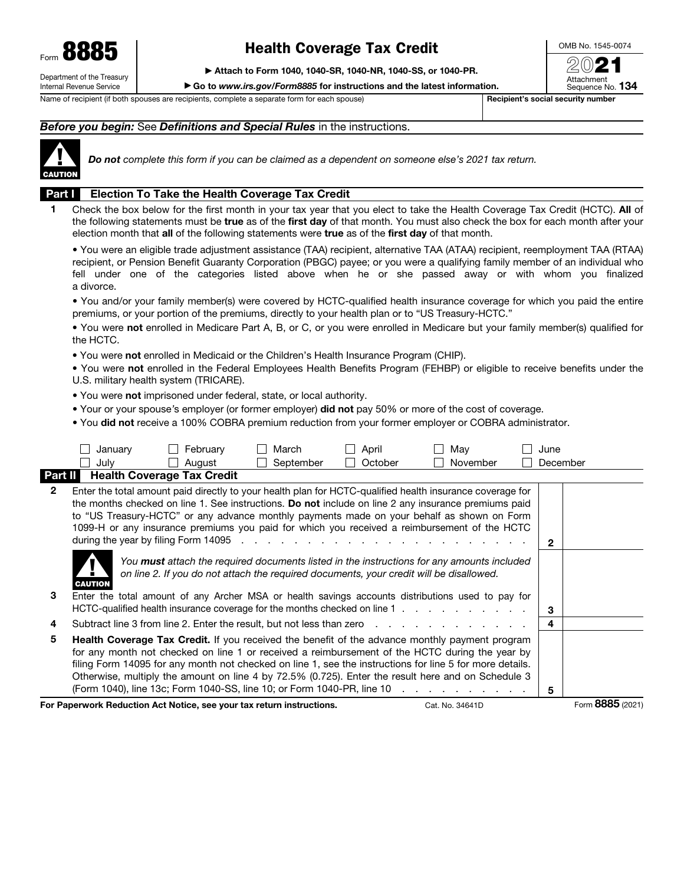

# Health Coverage Tax Credit

▶ Attach to Form 1040, 1040-SR, 1040-NR, 1040-SS, or 1040-PR.

▶ Go to *www.irs.gov/Form8885* for instructions and the latest information.

Name of recipient (if both spouses are recipients, complete a separate form for each spouse) Recipient's social security number

Sequence No. 134

OMB No. 1545-0074

20**21** 

#### *Before you begin:* See *Definitions and Special Rules* in the instructions.



*Do not complete this form if you can be claimed as a dependent on someone else's 2021 tax return.*

#### Part I Election To Take the Health Coverage Tax Credit

1 Check the box below for the first month in your tax year that you elect to take the Health Coverage Tax Credit (HCTC). All of the following statements must be true as of the first day of that month. You must also check the box for each month after your election month that all of the following statements were true as of the first day of that month.

• You were an eligible trade adjustment assistance (TAA) recipient, alternative TAA (ATAA) recipient, reemployment TAA (RTAA) recipient, or Pension Benefit Guaranty Corporation (PBGC) payee; or you were a qualifying family member of an individual who fell under one of the categories listed above when he or she passed away or with whom you finalized a divorce.

• You and/or your family member(s) were covered by HCTC-qualified health insurance coverage for which you paid the entire premiums, or your portion of the premiums, directly to your health plan or to "US Treasury-HCTC."

• You were not enrolled in Medicare Part A, B, or C, or you were enrolled in Medicare but your family member(s) qualified for the HCTC.

• You were not enrolled in Medicaid or the Children's Health Insurance Program (CHIP).

• You were not enrolled in the Federal Employees Health Benefits Program (FEHBP) or eligible to receive benefits under the U.S. military health system (TRICARE).

• You were not imprisoned under federal, state, or local authority.

• Your or your spouse*'*s employer (or former employer) did not pay 50% or more of the cost of coverage.

• You did not receive a 100% COBRA premium reduction from your former employer or COBRA administrator.

|              | January        | February                                                                                | March     | April   | May                                                                                                                                                                                                                                                                                                                                                                                                                                                             | June |                  |
|--------------|----------------|-----------------------------------------------------------------------------------------|-----------|---------|-----------------------------------------------------------------------------------------------------------------------------------------------------------------------------------------------------------------------------------------------------------------------------------------------------------------------------------------------------------------------------------------------------------------------------------------------------------------|------|------------------|
|              | July           | August                                                                                  | September | October | November                                                                                                                                                                                                                                                                                                                                                                                                                                                        |      | December         |
| Part II      |                | <b>Health Coverage Tax Credit</b>                                                       |           |         |                                                                                                                                                                                                                                                                                                                                                                                                                                                                 |      |                  |
| $\mathbf{2}$ |                |                                                                                         |           |         | Enter the total amount paid directly to your health plan for HCTC-qualified health insurance coverage for<br>the months checked on line 1. See instructions. Do not include on line 2 any insurance premiums paid<br>to "US Treasury-HCTC" or any advance monthly payments made on your behalf as shown on Form<br>1099-H or any insurance premiums you paid for which you received a reimbursement of the HCTC                                                 | 2    |                  |
| 3            | <b>CAUTION</b> | on line 2. If you do not attach the required documents, your credit will be disallowed. |           |         | You <b>must</b> attach the required documents listed in the instructions for any amounts included<br>Enter the total amount of any Archer MSA or health savings accounts distributions used to pay for<br>HCTC-qualified health insurance coverage for the months checked on line 1                                                                                                                                                                             | 3    |                  |
| 4            |                |                                                                                         |           |         | Subtract line 3 from line 2. Enter the result, but not less than zero enters in the case of the 3 from line 2.                                                                                                                                                                                                                                                                                                                                                  | 4    |                  |
| 5            |                | (Form 1040), line 13c; Form 1040-SS, line 10; or Form 1040-PR, line 10                  |           |         | <b>Health Coverage Tax Credit.</b> If you received the benefit of the advance monthly payment program<br>for any month not checked on line 1 or received a reimbursement of the HCTC during the year by<br>filing Form 14095 for any month not checked on line 1, see the instructions for line 5 for more details.<br>Otherwise, multiply the amount on line 4 by 72.5% (0.725). Enter the result here and on Schedule 3<br>design and a state of the state of | 5    |                  |
|              |                | For Paperwork Reduction Act Notice, see your tax return instructions.                   |           |         | Cat. No. 34641D                                                                                                                                                                                                                                                                                                                                                                                                                                                 |      | Form 8885 (2021) |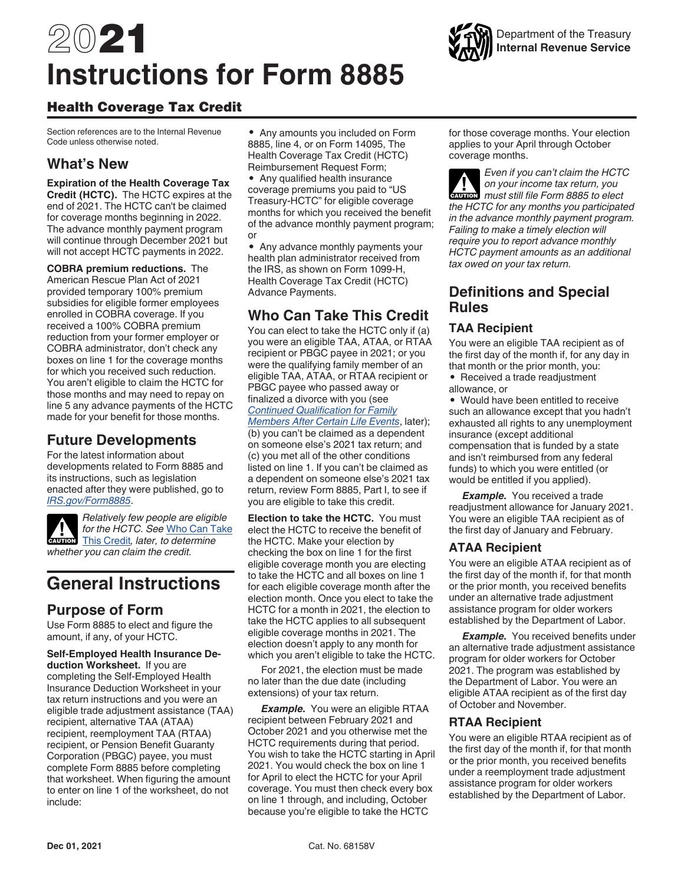# 2021 **Instructions for Form 8885**



Section references are to the Internal Revenue Code unless otherwise noted.

# **What's New**

**Expiration of the Health Coverage Tax Credit (HCTC).** The HCTC expires at the end of 2021. The HCTC can't be claimed for coverage months beginning in 2022. The advance monthly payment program will continue through December 2021 but will not accept HCTC payments in 2022.

**COBRA premium reductions.** The American Rescue Plan Act of 2021 provided temporary 100% premium subsidies for eligible former employees enrolled in COBRA coverage. If you received a 100% COBRA premium reduction from your former employer or COBRA administrator, don't check any boxes on line 1 for the coverage months for which you received such reduction. You aren't eligible to claim the HCTC for those months and may need to repay on line 5 any advance payments of the HCTC made for your benefit for those months.

## **Future Developments**

For the latest information about developments related to Form 8885 and its instructions, such as legislation enacted after they were published, go to *[IRS.gov/Form8885](https://www.irs.gov/form8885)*.



*Relatively few people are eligible for the HCTC. See* Who Can Take for the HCTC. See Who Can Ta<br>
This Credit, later, to determine *whether you can claim the credit.*

# **General Instructions**

# **Purpose of Form**

Use Form 8885 to elect and figure the amount, if any, of your HCTC.

**Self-Employed Health Insurance Deduction Worksheet.** If you are completing the Self-Employed Health Insurance Deduction Worksheet in your tax return instructions and you were an eligible trade adjustment assistance (TAA) recipient, alternative TAA (ATAA) recipient, reemployment TAA (RTAA) recipient, or Pension Benefit Guaranty Corporation (PBGC) payee, you must complete Form 8885 before completing that worksheet. When figuring the amount to enter on line 1 of the worksheet, do not include:

• Any amounts you included on Form 8885, line 4, or on Form 14095, The Health Coverage Tax Credit (HCTC) Reimbursement Request Form;

• Any qualified health insurance coverage premiums you paid to "US Treasury-HCTC" for eligible coverage months for which you received the benefit of the advance monthly payment program; or

• Any advance monthly payments your health plan administrator received from the IRS, as shown on Form 1099-H, Health Coverage Tax Credit (HCTC) Advance Payments.

# **Who Can Take This Credit**

You can elect to take the HCTC only if (a) you were an eligible TAA, ATAA, or RTAA recipient or PBGC payee in 2021; or you were the qualifying family member of an eligible TAA, ATAA, or RTAA recipient or PBGC payee who passed away or finalized a divorce with you (see *Continued Qualification for Family Members After Certain Life Events*, later); (b) you can't be claimed as a dependent on someone else's 2021 tax return; and (c) you met all of the other conditions listed on line 1. If you can't be claimed as a dependent on someone else's 2021 tax return, review Form 8885, Part I, to see if you are eligible to take this credit.

**Election to take the HCTC.** You must elect the HCTC to receive the benefit of the HCTC. Make your election by checking the box on line 1 for the first eligible coverage month you are electing to take the HCTC and all boxes on line 1 for each eligible coverage month after the election month. Once you elect to take the HCTC for a month in 2021, the election to take the HCTC applies to all subsequent eligible coverage months in 2021. The election doesn't apply to any month for which you aren't eligible to take the HCTC.

For 2021, the election must be made no later than the due date (including extensions) of your tax return.

*Example.* You were an eligible RTAA recipient between February 2021 and October 2021 and you otherwise met the HCTC requirements during that period. You wish to take the HCTC starting in April 2021. You would check the box on line 1 for April to elect the HCTC for your April coverage. You must then check every box on line 1 through, and including, October because you're eligible to take the HCTC

for those coverage months. Your election applies to your April through October coverage months.

*Even if you can't claim the HCTC on your income tax return, you*  **cAUTION** on your income tax return, you *the HCTC for any months you participated in the advance monthly payment program. Failing to make a timely election will require you to report advance monthly HCTC payment amounts as an additional tax owed on your tax return.*

## **Definitions and Special Rules**

## **TAA Recipient**

You were an eligible TAA recipient as of the first day of the month if, for any day in that month or the prior month, you:

• Received a trade readjustment allowance, or

• Would have been entitled to receive such an allowance except that you hadn't exhausted all rights to any unemployment insurance (except additional compensation that is funded by a state and isn't reimbursed from any federal funds) to which you were entitled (or would be entitled if you applied).

**Example.** You received a trade readjustment allowance for January 2021. You were an eligible TAA recipient as of the first day of January and February.

## **ATAA Recipient**

You were an eligible ATAA recipient as of the first day of the month if, for that month or the prior month, you received benefits under an alternative trade adjustment assistance program for older workers established by the Department of Labor.

**Example.** You received benefits under an alternative trade adjustment assistance program for older workers for October 2021. The program was established by the Department of Labor. You were an eligible ATAA recipient as of the first day of October and November.

#### **RTAA Recipient**

You were an eligible RTAA recipient as of the first day of the month if, for that month or the prior month, you received benefits under a reemployment trade adjustment assistance program for older workers established by the Department of Labor.

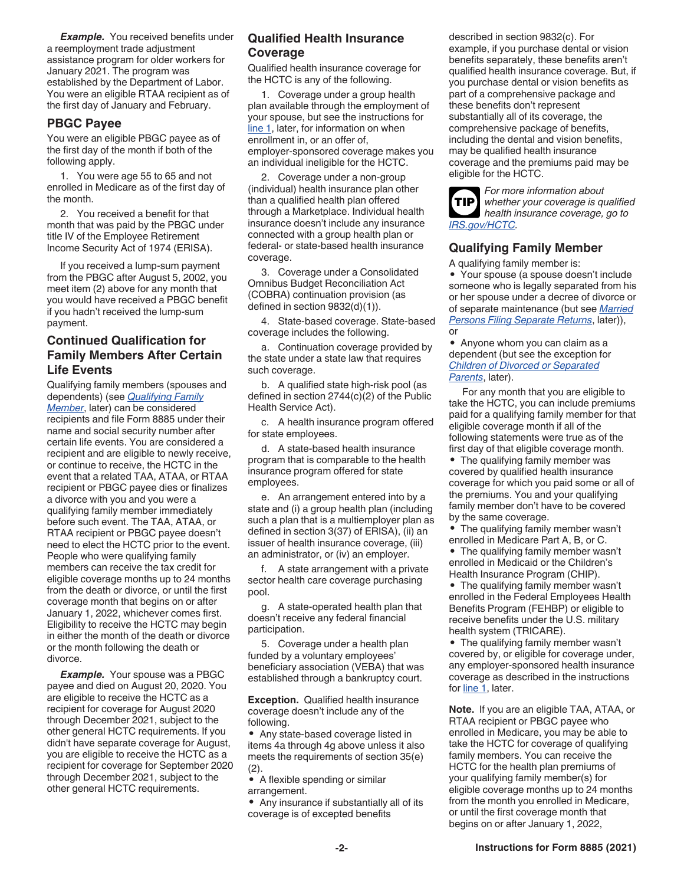**Example.** You received benefits under a reemployment trade adjustment assistance program for older workers for January 2021. The program was established by the Department of Labor. You were an eligible RTAA recipient as of the first day of January and February.

#### **PBGC Payee**

You were an eligible PBGC payee as of the first day of the month if both of the following apply.

1. You were age 55 to 65 and not enrolled in Medicare as of the first day of the month.

2. You received a benefit for that month that was paid by the PBGC under title IV of the Employee Retirement Income Security Act of 1974 (ERISA).

If you received a lump-sum payment from the PBGC after August 5, 2002, you meet item (2) above for any month that you would have received a PBGC benefit if you hadn't received the lump-sum payment.

## **Continued Qualification for Family Members After Certain Life Events**

Qualifying family members (spouses and dependents) (see *Qualifying Family Member*, later) can be considered recipients and file Form 8885 under their name and social security number after certain life events. You are considered a recipient and are eligible to newly receive, or continue to receive, the HCTC in the event that a related TAA, ATAA, or RTAA recipient or PBGC payee dies or finalizes a divorce with you and you were a qualifying family member immediately before such event. The TAA, ATAA, or RTAA recipient or PBGC payee doesn't need to elect the HCTC prior to the event. People who were qualifying family members can receive the tax credit for eligible coverage months up to 24 months from the death or divorce, or until the first coverage month that begins on or after January 1, 2022, whichever comes first. Eligibility to receive the HCTC may begin in either the month of the death or divorce or the month following the death or divorce.

*Example.* Your spouse was a PBGC payee and died on August 20, 2020. You are eligible to receive the HCTC as a recipient for coverage for August 2020 through December 2021, subject to the other general HCTC requirements. If you didn't have separate coverage for August, you are eligible to receive the HCTC as a recipient for coverage for September 2020 through December 2021, subject to the other general HCTC requirements.

## **Qualified Health Insurance Coverage**

Qualified health insurance coverage for the HCTC is any of the following.

1. Coverage under a group health plan available through the employment of your spouse, but see the instructions for line 1, later, for information on when enrollment in, or an offer of, employer-sponsored coverage makes you an individual ineligible for the HCTC.

2. Coverage under a non-group (individual) health insurance plan other than a qualified health plan offered through a Marketplace. Individual health insurance doesn't include any insurance connected with a group health plan or federal- or state-based health insurance coverage.

3. Coverage under a Consolidated Omnibus Budget Reconciliation Act (COBRA) continuation provision (as defined in section 9832(d)(1)).

4. State-based coverage. State-based coverage includes the following.

a. Continuation coverage provided by the state under a state law that requires such coverage.

b. A qualified state high-risk pool (as defined in section 2744(c)(2) of the Public Health Service Act).

c. A health insurance program offered for state employees.

d. A state-based health insurance program that is comparable to the health insurance program offered for state employees.

e. An arrangement entered into by a state and (i) a group health plan (including such a plan that is a multiemployer plan as defined in section 3(37) of ERISA), (ii) an issuer of health insurance coverage, (iii) an administrator, or (iv) an employer.

f. A state arrangement with a private sector health care coverage purchasing pool.

g. A state-operated health plan that doesn't receive any federal financial participation.

5. Coverage under a health plan funded by a voluntary employees' beneficiary association (VEBA) that was established through a bankruptcy court.

**Exception.** Qualified health insurance coverage doesn't include any of the following.

• Any state-based coverage listed in items 4a through 4g above unless it also meets the requirements of section 35(e) (2).

• A flexible spending or similar

arrangement.

• Any insurance if substantially all of its coverage is of excepted benefits

described in section 9832(c). For example, if you purchase dental or vision benefits separately, these benefits aren't qualified health insurance coverage. But, if you purchase dental or vision benefits as part of a comprehensive package and these benefits don't represent substantially all of its coverage, the comprehensive package of benefits, including the dental and vision benefits, may be qualified health insurance coverage and the premiums paid may be eligible for the HCTC.



*For more information about whether your coverage is qualified health insurance coverage, go to [IRS.gov/HCTC](https://www.irs.gov/hctc).*

#### **Qualifying Family Member**

A qualifying family member is:

• Your spouse (a spouse doesn't include someone who is legally separated from his or her spouse under a decree of divorce or of separate maintenance (but see *Married Persons Filing Separate Returns*, later)), or

• Anyone whom you can claim as a dependent (but see the exception for *Children of Divorced or Separated Parents*, later).

For any month that you are eligible to take the HCTC, you can include premiums paid for a qualifying family member for that eligible coverage month if all of the following statements were true as of the first day of that eligible coverage month.

• The qualifying family member was covered by qualified health insurance coverage for which you paid some or all of the premiums. You and your qualifying family member don't have to be covered by the same coverage.

• The qualifying family member wasn't enrolled in Medicare Part A, B, or C.

• The qualifying family member wasn't enrolled in Medicaid or the Children's Health Insurance Program (CHIP).

• The qualifying family member wasn't enrolled in the Federal Employees Health Benefits Program (FEHBP) or eligible to receive benefits under the U.S. military health system (TRICARE).

• The qualifying family member wasn't covered by, or eligible for coverage under, any employer-sponsored health insurance coverage as described in the instructions for line 1, later.

**Note.** If you are an eligible TAA, ATAA, or RTAA recipient or PBGC payee who enrolled in Medicare, you may be able to take the HCTC for coverage of qualifying family members. You can receive the HCTC for the health plan premiums of your qualifying family member(s) for eligible coverage months up to 24 months from the month you enrolled in Medicare, or until the first coverage month that begins on or after January 1, 2022,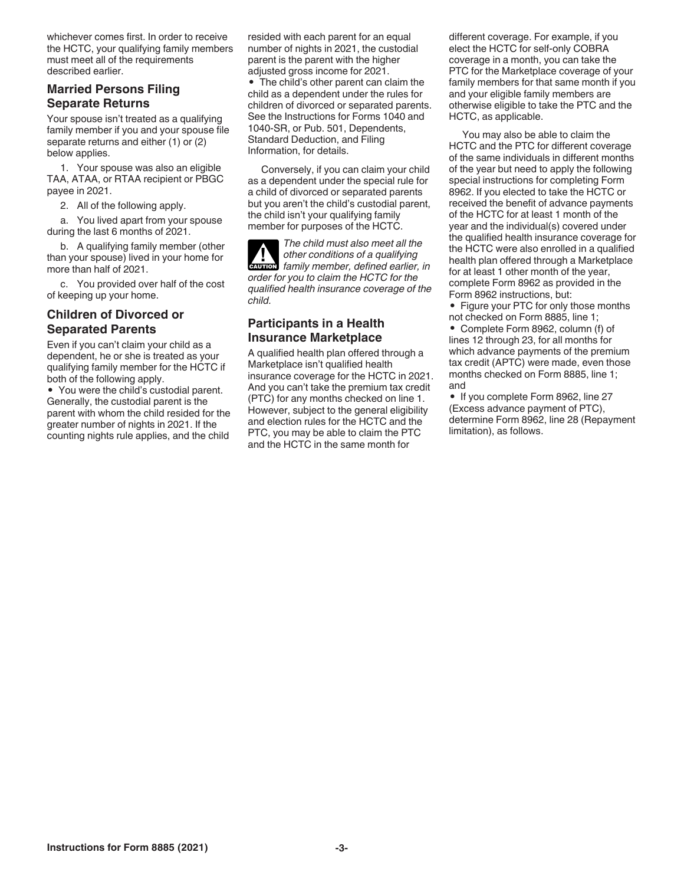whichever comes first. In order to receive the HCTC, your qualifying family members must meet all of the requirements described earlier.

#### **Married Persons Filing Separate Returns**

Your spouse isn't treated as a qualifying family member if you and your spouse file separate returns and either (1) or (2) below applies.

1. Your spouse was also an eligible TAA, ATAA, or RTAA recipient or PBGC payee in 2021.

2. All of the following apply.

a. You lived apart from your spouse during the last 6 months of 2021.

b. A qualifying family member (other than your spouse) lived in your home for more than half of 2021.

c. You provided over half of the cost of keeping up your home.

#### **Children of Divorced or Separated Parents**

Even if you can't claim your child as a dependent, he or she is treated as your qualifying family member for the HCTC if both of the following apply.

• You were the child's custodial parent. Generally, the custodial parent is the parent with whom the child resided for the greater number of nights in 2021. If the counting nights rule applies, and the child

resided with each parent for an equal number of nights in 2021, the custodial parent is the parent with the higher adjusted gross income for 2021. • The child's other parent can claim the child as a dependent under the rules for children of divorced or separated parents. See the Instructions for Forms 1040 and

1040-SR, or Pub. 501, Dependents, Standard Deduction, and Filing Information, for details.

Conversely, if you can claim your child as a dependent under the special rule for a child of divorced or separated parents but you aren't the child's custodial parent, the child isn't your qualifying family member for purposes of the HCTC.

*The child must also meet all the other conditions of a qualifying*  other conditions of a qualifying<br> **EXUTION** family member, defined earlier, in *order for you to claim the HCTC for the qualified health insurance coverage of the child.*

#### **Participants in a Health Insurance Marketplace**

A qualified health plan offered through a Marketplace isn't qualified health insurance coverage for the HCTC in 2021. And you can't take the premium tax credit (PTC) for any months checked on line 1. However, subject to the general eligibility and election rules for the HCTC and the PTC, you may be able to claim the PTC and the HCTC in the same month for

different coverage. For example, if you elect the HCTC for self-only COBRA coverage in a month, you can take the PTC for the Marketplace coverage of your family members for that same month if you and your eligible family members are otherwise eligible to take the PTC and the HCTC, as applicable.

You may also be able to claim the HCTC and the PTC for different coverage of the same individuals in different months of the year but need to apply the following special instructions for completing Form 8962. If you elected to take the HCTC or received the benefit of advance payments of the HCTC for at least 1 month of the year and the individual(s) covered under the qualified health insurance coverage for the HCTC were also enrolled in a qualified health plan offered through a Marketplace for at least 1 other month of the year, complete Form 8962 as provided in the Form 8962 instructions, but:

• Figure your PTC for only those months not checked on Form 8885, line 1;

• Complete Form 8962, column (f) of lines 12 through 23, for all months for which advance payments of the premium tax credit (APTC) were made, even those months checked on Form 8885, line 1; and

• If you complete Form 8962, line 27 (Excess advance payment of PTC), determine Form 8962, line 28 (Repayment limitation), as follows.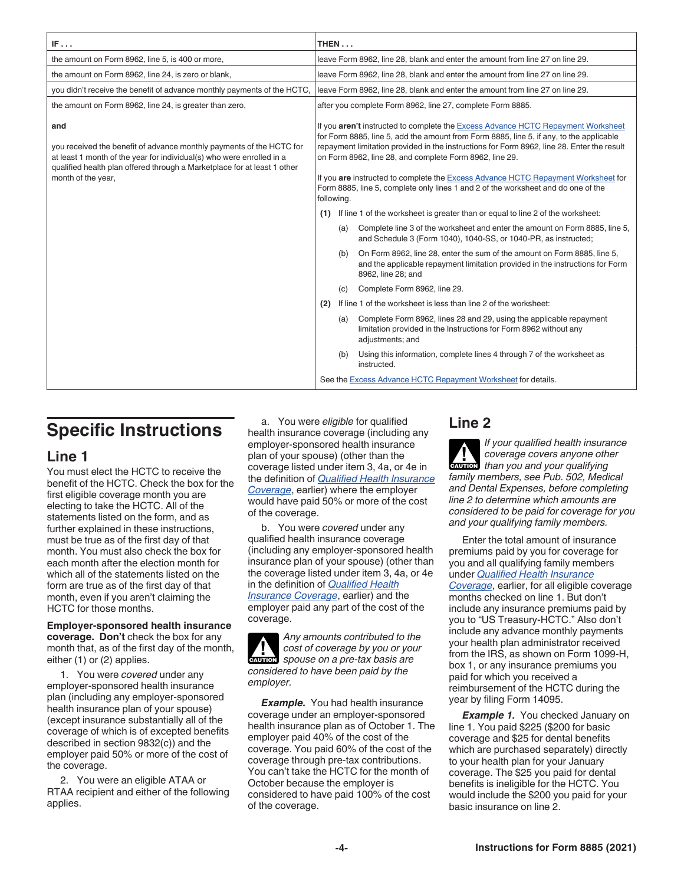| IF                                                                                                                                                                                                                                                     |                                                            | THEN $\dots$                                                                                                                                                                                                                                                                                                                                                                                                                                                                                                                 |                                                                                                                                                                                 |  |  |  |
|--------------------------------------------------------------------------------------------------------------------------------------------------------------------------------------------------------------------------------------------------------|------------------------------------------------------------|------------------------------------------------------------------------------------------------------------------------------------------------------------------------------------------------------------------------------------------------------------------------------------------------------------------------------------------------------------------------------------------------------------------------------------------------------------------------------------------------------------------------------|---------------------------------------------------------------------------------------------------------------------------------------------------------------------------------|--|--|--|
| the amount on Form 8962, line 5, is 400 or more,                                                                                                                                                                                                       |                                                            | leave Form 8962, line 28, blank and enter the amount from line 27 on line 29.                                                                                                                                                                                                                                                                                                                                                                                                                                                |                                                                                                                                                                                 |  |  |  |
| the amount on Form 8962, line 24, is zero or blank,                                                                                                                                                                                                    |                                                            |                                                                                                                                                                                                                                                                                                                                                                                                                                                                                                                              | leave Form 8962, line 28, blank and enter the amount from line 27 on line 29.                                                                                                   |  |  |  |
| you didn't receive the benefit of advance monthly payments of the HCTC,                                                                                                                                                                                |                                                            |                                                                                                                                                                                                                                                                                                                                                                                                                                                                                                                              | leave Form 8962, line 28, blank and enter the amount from line 27 on line 29.                                                                                                   |  |  |  |
| the amount on Form 8962, line 24, is greater than zero,                                                                                                                                                                                                | after you complete Form 8962, line 27, complete Form 8885. |                                                                                                                                                                                                                                                                                                                                                                                                                                                                                                                              |                                                                                                                                                                                 |  |  |  |
| and<br>you received the benefit of advance monthly payments of the HCTC for<br>at least 1 month of the year for individual(s) who were enrolled in a<br>qualified health plan offered through a Marketplace for at least 1 other<br>month of the year, |                                                            | If you aren't instructed to complete the Excess Advance HCTC Repayment Worksheet<br>for Form 8885, line 5, add the amount from Form 8885, line 5, if any, to the applicable<br>repayment limitation provided in the instructions for Form 8962, line 28. Enter the result<br>on Form 8962, line 28, and complete Form 8962, line 29.<br>If you are instructed to complete the Excess Advance HCTC Repayment Worksheet for<br>Form 8885, line 5, complete only lines 1 and 2 of the worksheet and do one of the<br>following. |                                                                                                                                                                                 |  |  |  |
|                                                                                                                                                                                                                                                        |                                                            |                                                                                                                                                                                                                                                                                                                                                                                                                                                                                                                              | (1) If line 1 of the worksheet is greater than or equal to line 2 of the worksheet:                                                                                             |  |  |  |
|                                                                                                                                                                                                                                                        |                                                            | (a)                                                                                                                                                                                                                                                                                                                                                                                                                                                                                                                          | Complete line 3 of the worksheet and enter the amount on Form 8885, line 5,<br>and Schedule 3 (Form 1040), 1040-SS, or 1040-PR, as instructed;                                  |  |  |  |
|                                                                                                                                                                                                                                                        |                                                            | (b)                                                                                                                                                                                                                                                                                                                                                                                                                                                                                                                          | On Form 8962, line 28, enter the sum of the amount on Form 8885, line 5,<br>and the applicable repayment limitation provided in the instructions for Form<br>8962, line 28; and |  |  |  |
|                                                                                                                                                                                                                                                        |                                                            | (C)                                                                                                                                                                                                                                                                                                                                                                                                                                                                                                                          | Complete Form 8962, line 29.                                                                                                                                                    |  |  |  |
|                                                                                                                                                                                                                                                        | (2)                                                        |                                                                                                                                                                                                                                                                                                                                                                                                                                                                                                                              | If line 1 of the worksheet is less than line 2 of the worksheet:                                                                                                                |  |  |  |
|                                                                                                                                                                                                                                                        |                                                            | (a)                                                                                                                                                                                                                                                                                                                                                                                                                                                                                                                          | Complete Form 8962, lines 28 and 29, using the applicable repayment<br>limitation provided in the Instructions for Form 8962 without any<br>adjustments; and                    |  |  |  |
|                                                                                                                                                                                                                                                        |                                                            | (b)                                                                                                                                                                                                                                                                                                                                                                                                                                                                                                                          | Using this information, complete lines 4 through 7 of the worksheet as<br>instructed.                                                                                           |  |  |  |
|                                                                                                                                                                                                                                                        |                                                            |                                                                                                                                                                                                                                                                                                                                                                                                                                                                                                                              | See the Excess Advance HCTC Repayment Worksheet for details.                                                                                                                    |  |  |  |

# **Specific Instructions**

## **Line 1**

You must elect the HCTC to receive the benefit of the HCTC. Check the box for the first eligible coverage month you are electing to take the HCTC. All of the statements listed on the form, and as further explained in these instructions, must be true as of the first day of that month. You must also check the box for each month after the election month for which all of the statements listed on the form are true as of the first day of that month, even if you aren't claiming the HCTC for those months.

**Employer-sponsored health insurance coverage. Don't** check the box for any month that, as of the first day of the month, either (1) or (2) applies.

1. You were *covered* under any employer-sponsored health insurance plan (including any employer-sponsored health insurance plan of your spouse) (except insurance substantially all of the coverage of which is of excepted benefits described in section 9832(c)) and the employer paid 50% or more of the cost of the coverage.

2. You were an eligible ATAA or RTAA recipient and either of the following applies.

a. You were *eligible* for qualified health insurance coverage (including any employer-sponsored health insurance plan of your spouse) (other than the coverage listed under item 3, 4a, or 4e in the definition of *Qualified Health Insurance Coverage*, earlier) where the employer would have paid 50% or more of the cost of the coverage.

b. You were *covered* under any qualified health insurance coverage (including any employer-sponsored health insurance plan of your spouse) (other than the coverage listed under item 3, 4a, or 4e in the definition of *Qualified Health Insurance Coverage*, earlier) and the employer paid any part of the cost of the coverage.

*Any amounts contributed to the cost of coverage by you or your*  cost of coverage by you or you<br>
spouse on a pre-tax basis are *considered to have been paid by the employer.*

*Example.* You had health insurance coverage under an employer-sponsored health insurance plan as of October 1. The employer paid 40% of the cost of the coverage. You paid 60% of the cost of the coverage through pre-tax contributions. You can't take the HCTC for the month of October because the employer is considered to have paid 100% of the cost of the coverage.

# **Line 2**

*If your qualified health insurance coverage covers anyone other*  **c** coverage covers anyone other<br>than you and your qualifying *family members, see Pub. 502, Medical and Dental Expenses, before completing line 2 to determine which amounts are considered to be paid for coverage for you and your qualifying family members.*

Enter the total amount of insurance premiums paid by you for coverage for you and all qualifying family members under *Qualified Health Insurance Coverage*, earlier, for all eligible coverage months checked on line 1. But don't include any insurance premiums paid by you to "US Treasury-HCTC." Also don't include any advance monthly payments your health plan administrator received from the IRS, as shown on Form 1099-H, box 1, or any insurance premiums you paid for which you received a reimbursement of the HCTC during the year by filing Form 14095.

**Example 1.** You checked January on line 1. You paid \$225 (\$200 for basic coverage and \$25 for dental benefits which are purchased separately) directly to your health plan for your January coverage. The \$25 you paid for dental benefits is ineligible for the HCTC. You would include the \$200 you paid for your basic insurance on line 2.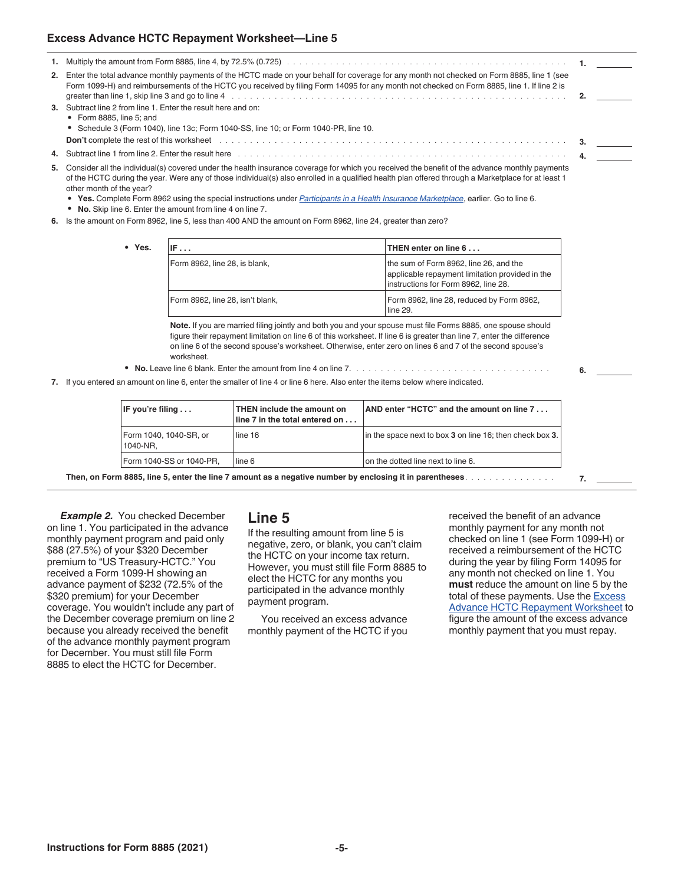#### **Excess Advance HCTC Repayment Worksheet—Line 5**

| 2. Enter the total advance monthly payments of the HCTC made on your behalf for coverage for any month not checked on Form 8885, line 1 (see<br>Form 1099-H) and reimbursements of the HCTC you received by filing Form 14095 for any month not checked on Form 8885, line 1. If line 2 is<br>greater than line 1, skip line 3 and go to line 4 metal and such a series of the series of the series of the series of the series of the series of the series of the series of the series of the series of the series of the s |  |
|------------------------------------------------------------------------------------------------------------------------------------------------------------------------------------------------------------------------------------------------------------------------------------------------------------------------------------------------------------------------------------------------------------------------------------------------------------------------------------------------------------------------------|--|
| 3. Subtract line 2 from line 1. Enter the result here and on:<br>$\bullet$ Form 8885, line 5; and<br>• Schedule 3 (Form 1040), line 13c; Form 1040-SS, line 10; or Form 1040-PR, line 10.<br><b>Don't</b> complete the rest of this worksheet <b>being the controller of the controller</b> controller the rest of this worksheet <b>being the controller</b> controller than 1990 of the controller than 1990 of the controller than 1990                                                                                   |  |
| 4. Subtract line 1 from line 2. Enter the result here enter and contained and contained and contained from line 2. Enter the result here enter and contained and contained and contained and contained and contained and conta                                                                                                                                                                                                                                                                                               |  |
| 5. Consider all the individual(s) covered under the health insurance coverage for which you received the benefit of the advance monthly payments<br>of the HCTC during the year. Were any of those individual(s) also enrolled in a qualified health plan offered through a Marketplace for at least 1<br>other month of the year?                                                                                                                                                                                           |  |

- **Yes.** Complete Form 8962 using the special instructions under *Participants in a Health Insurance Marketplace*, earlier. Go to line 6.
- **No.** Skip line 6. Enter the amount from line 4 on line 7.
- **6.** Is the amount on Form 8962, line 5, less than 400 AND the amount on Form 8962, line 24, greater than zero?

| • Yes. | IF $\ldots$                      | THEN enter on line 6                                                                                                              |  |  |
|--------|----------------------------------|-----------------------------------------------------------------------------------------------------------------------------------|--|--|
|        | Form 8962, line 28, is blank,    | the sum of Form 8962, line 26, and the<br>applicable repayment limitation provided in the<br>instructions for Form 8962, line 28. |  |  |
|        | Form 8962, line 28, isn't blank, | Form 8962, line 28, reduced by Form 8962,<br>lline 29.                                                                            |  |  |

**Note.** If you are married filing jointly and both you and your spouse must file Forms 8885, one spouse should figure their repayment limitation on line 6 of this worksheet. If line 6 is greater than line 7, enter the difference on line 6 of the second spouse's worksheet. Otherwise, enter zero on lines 6 and 7 of the second spouse's worksheet.

- **No.** Leave line 6 blank. Enter the amount from line 4 on line 7. ................................ **6.**
- **7.** If you entered an amount on line 6, enter the smaller of line 4 or line 6 here. Also enter the items below where indicated.

| $\mathsf{IF}$ you're filing $\dots$ | THEN include the amount on<br>lline 7 in the total entered on | AND enter "HCTC" and the amount on line 7                |  |  |
|-------------------------------------|---------------------------------------------------------------|----------------------------------------------------------|--|--|
| Form 1040, 1040-SR, or<br>1040-NR.  | lline 16                                                      | in the space next to box 3 on line 16; then check box 3. |  |  |
| Form 1040-SS or 1040-PR.            | lline 6                                                       | on the dotted line next to line 6.                       |  |  |

**Then, on Form 8885, line 5, enter the line 7 amount as a negative number by enclosing it in parentheses** ............... **7.**

**Example 2.** You checked December on line 1. You participated in the advance monthly payment program and paid only \$88 (27.5%) of your \$320 December premium to "US Treasury-HCTC." You received a Form 1099-H showing an advance payment of \$232 (72.5% of the \$320 premium) for your December coverage. You wouldn't include any part of the December coverage premium on line 2 because you already received the benefit of the advance monthly payment program for December. You must still file Form 8885 to elect the HCTC for December.

#### **Line 5**

If the resulting amount from line 5 is negative, zero, or blank, you can't claim the HCTC on your income tax return. However, you must still file Form 8885 to elect the HCTC for any months you participated in the advance monthly payment program.

You received an excess advance monthly payment of the HCTC if you received the benefit of an advance monthly payment for any month not checked on line 1 (see Form 1099-H) or received a reimbursement of the HCTC during the year by filing Form 14095 for any month not checked on line 1. You **must** reduce the amount on line 5 by the total of these payments. Use the **Excess** Advance HCTC Repayment Worksheet to figure the amount of the excess advance monthly payment that you must repay.